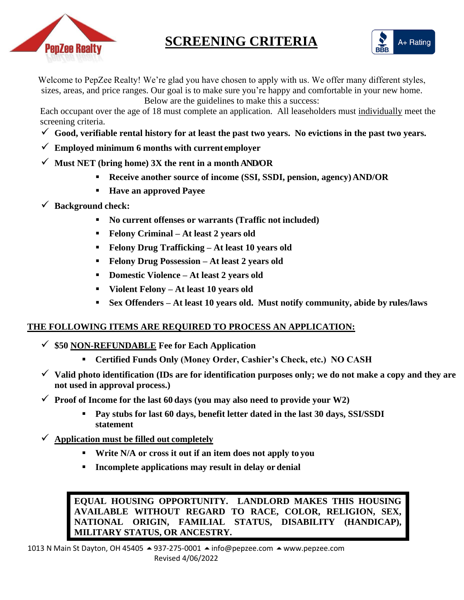

# **SCREENING CRITERIA**



Welcome to PepZee Realty! We're glad you have chosen to apply with us. We offer many different styles, sizes, areas, and price ranges. Our goal is to make sure you're happy and comfortable in your new home.

Below are the guidelines to make this a success:

Each occupant over the age of 18 must complete an application. All leaseholders must individually meet the screening criteria.

- $\checkmark$  Good, verifiable rental history for at least the past two years. No evictions in the past two years.
- ✓ **Employed minimum 6 months with current employer**
- ✓ **Must NET (bring home) 3X the rent in a month AND/OR**
	- **Receive another source of income (SSI, SSDI, pension, agency)AND/OR**
	- **Have an approved Payee**
- ✓ **Background check:**
	- **No current offenses or warrants (Traffic not included)**
	- **Felony Criminal – At least 2 years old**
	- **Felony Drug Trafficking – At least 10 years old**
	- **Felony Drug Possession – At least 2 years old**
	- **Domestic Violence – At least 2 years old**
	- **Violent Felony – At least 10 years old**
	- **Sex Offenders – At least 10 years old. Must notify community, abide by rules/laws**

#### **THE FOLLOWING ITEMS ARE REQUIRED TO PROCESS AN APPLICATION:**

- ✓ **\$50 NON-REFUNDABLE Fee for Each Application**
	- **Certified Funds Only (Money Order, Cashier's Check, etc.) NO CASH**
- ✓ **Valid photo identification (IDs are for identification purposes only; we do not make a copy and they are not used in approval process.)**
- $\checkmark$  **Proof of Income for the last 60 days** (you may also need to provide your W2)
	- **Pay stubs for last 60 days, benefit letter dated in the last 30 days, SSI/SSDI statement**
- ✓ **Application must be filled out completely**
	- **Write N/A or cross it out if an item does not apply to you**
	- **Incomplete applications may result in delay or denial**

**EQUAL HOUSING OPPORTUNITY. LANDLORD MAKES THIS HOUSING AVAILABLE WITHOUT REGARD TO RACE, COLOR, RELIGION, SEX, NATIONAL ORIGIN, FAMILIAL STATUS, DISABILITY (HANDICAP), MILITARY STATUS, OR ANCESTRY.**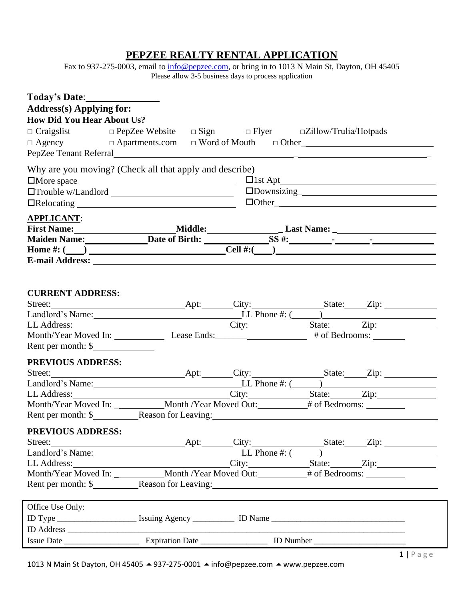#### **PEPZEE REALTY RENTAL APPLICATION**

Fax to 937-275-0003, email to [info@pepzee.com, o](mailto:info@pepzee.com)r bring in to 1013 N Main St, Dayton, OH 45405 Please allow 3-5 business days to process application

| Address(s) Applying for:                                                                                                                                                                                                       |  |                                   |  |  |                                                                |                        |  |
|--------------------------------------------------------------------------------------------------------------------------------------------------------------------------------------------------------------------------------|--|-----------------------------------|--|--|----------------------------------------------------------------|------------------------|--|
| <b>How Did You Hear About Us?</b>                                                                                                                                                                                              |  |                                   |  |  |                                                                |                        |  |
| $\Box$ Craigslist $\Box$ PepZee Website                                                                                                                                                                                        |  |                                   |  |  | $\square$ Sign $\square$ Flyer $\square$ Zillow/Trulia/Hotpads |                        |  |
| $\Box$ Agency $\Box$ Apartments.com                                                                                                                                                                                            |  |                                   |  |  |                                                                |                        |  |
| PepZee Tenant Referral                                                                                                                                                                                                         |  |                                   |  |  |                                                                |                        |  |
| Why are you moving? (Check all that apply and describe)                                                                                                                                                                        |  |                                   |  |  |                                                                |                        |  |
| $\square$ More space $\square$                                                                                                                                                                                                 |  |                                   |  |  |                                                                |                        |  |
|                                                                                                                                                                                                                                |  |                                   |  |  |                                                                |                        |  |
|                                                                                                                                                                                                                                |  | $\Box \text{Other}\_\_\_\_\_\_\_$ |  |  |                                                                |                        |  |
| <b>APPLICANT:</b>                                                                                                                                                                                                              |  |                                   |  |  |                                                                |                        |  |
|                                                                                                                                                                                                                                |  |                                   |  |  |                                                                |                        |  |
|                                                                                                                                                                                                                                |  |                                   |  |  |                                                                |                        |  |
|                                                                                                                                                                                                                                |  |                                   |  |  |                                                                |                        |  |
|                                                                                                                                                                                                                                |  |                                   |  |  |                                                                |                        |  |
|                                                                                                                                                                                                                                |  |                                   |  |  |                                                                |                        |  |
|                                                                                                                                                                                                                                |  |                                   |  |  |                                                                |                        |  |
| <b>CURRENT ADDRESS:</b>                                                                                                                                                                                                        |  |                                   |  |  |                                                                |                        |  |
|                                                                                                                                                                                                                                |  |                                   |  |  |                                                                |                        |  |
| Landlord's Name: Landlord's Name: LL Phone #: (Campaigned Text Contract Contract Contract Contract Contract Contract Contract Contract Contract Contract Contract Contract Contract Contract Contract Contract Contract Contra |  |                                   |  |  |                                                                |                        |  |
|                                                                                                                                                                                                                                |  |                                   |  |  |                                                                |                        |  |
|                                                                                                                                                                                                                                |  |                                   |  |  |                                                                |                        |  |
| Rent per month: \$                                                                                                                                                                                                             |  |                                   |  |  |                                                                |                        |  |
| <b>PREVIOUS ADDRESS:</b>                                                                                                                                                                                                       |  |                                   |  |  |                                                                |                        |  |
|                                                                                                                                                                                                                                |  |                                   |  |  |                                                                |                        |  |
| Landlord's Name: LL Phone #: (Chapter 2014)                                                                                                                                                                                    |  |                                   |  |  |                                                                |                        |  |
|                                                                                                                                                                                                                                |  |                                   |  |  |                                                                |                        |  |
|                                                                                                                                                                                                                                |  |                                   |  |  |                                                                |                        |  |
|                                                                                                                                                                                                                                |  |                                   |  |  |                                                                |                        |  |
| PREVIOUS ADDRESS:                                                                                                                                                                                                              |  |                                   |  |  |                                                                |                        |  |
| Street:                                                                                                                                                                                                                        |  |                                   |  |  |                                                                | Apt: City: State: Zip: |  |
| Landlord's Name: LL Phone #: (Call 2013)                                                                                                                                                                                       |  |                                   |  |  |                                                                |                        |  |
| LL Address: __________________________________City: __________________State: ________Zip: ________________                                                                                                                     |  |                                   |  |  |                                                                |                        |  |
| Month/Year Moved In: ___________________Month /Year Moved Out: ___________# of Bedrooms: __________                                                                                                                            |  |                                   |  |  |                                                                |                        |  |
| Rent per month: \$ Reason for Leaving:                                                                                                                                                                                         |  |                                   |  |  |                                                                |                        |  |
| Office Use Only:                                                                                                                                                                                                               |  |                                   |  |  |                                                                |                        |  |
|                                                                                                                                                                                                                                |  |                                   |  |  |                                                                |                        |  |
|                                                                                                                                                                                                                                |  |                                   |  |  |                                                                |                        |  |
|                                                                                                                                                                                                                                |  |                                   |  |  |                                                                |                        |  |
|                                                                                                                                                                                                                                |  |                                   |  |  |                                                                |                        |  |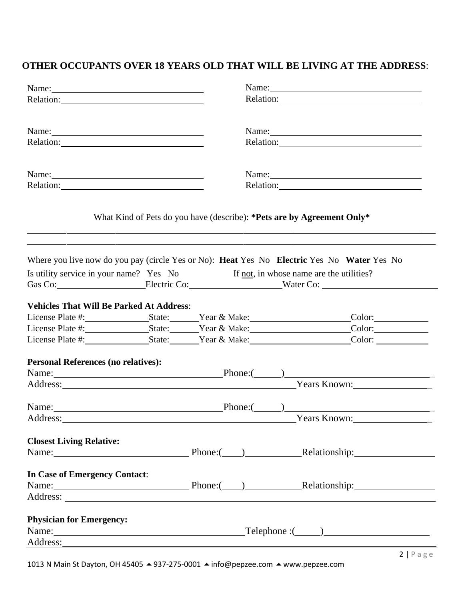#### **OTHER OCCUPANTS OVER 18 YEARS OLD THAT WILL BE LIVING AT THE ADDRESS**:

| Name:                                                                                                                                                                                                                          |                                                    |  | Name:                                                                                                                                                                                                                                                                                                                                                                                                                       |  |  |  |
|--------------------------------------------------------------------------------------------------------------------------------------------------------------------------------------------------------------------------------|----------------------------------------------------|--|-----------------------------------------------------------------------------------------------------------------------------------------------------------------------------------------------------------------------------------------------------------------------------------------------------------------------------------------------------------------------------------------------------------------------------|--|--|--|
| Relation:                                                                                                                                                                                                                      |                                                    |  |                                                                                                                                                                                                                                                                                                                                                                                                                             |  |  |  |
|                                                                                                                                                                                                                                |                                                    |  |                                                                                                                                                                                                                                                                                                                                                                                                                             |  |  |  |
| Name:                                                                                                                                                                                                                          |                                                    |  | Name: $\frac{1}{\sqrt{1-\frac{1}{2}}\sqrt{1-\frac{1}{2}}\sqrt{1-\frac{1}{2}}\sqrt{1-\frac{1}{2}}\sqrt{1-\frac{1}{2}}\sqrt{1-\frac{1}{2}}\sqrt{1-\frac{1}{2}}\sqrt{1-\frac{1}{2}}\sqrt{1-\frac{1}{2}}\sqrt{1-\frac{1}{2}}\sqrt{1-\frac{1}{2}}\sqrt{1-\frac{1}{2}}\sqrt{1-\frac{1}{2}}\sqrt{1-\frac{1}{2}}\sqrt{1-\frac{1}{2}}\sqrt{1-\frac{1}{2}}\sqrt{1-\frac{1}{2}}\sqrt{1-\frac{1}{2}}\sqrt{1-\frac{1}{2}}\$<br>Relation: |  |  |  |
| Relation: 2000 and 2000 and 2000 and 2000 and 2000 and 2000 and 2000 and 2000 and 2000 and 2000 and 2000 and 2000 and 2000 and 2000 and 2000 and 2000 and 2000 and 2000 and 2000 and 2000 and 2000 and 2000 and 2000 and 2000  |                                                    |  |                                                                                                                                                                                                                                                                                                                                                                                                                             |  |  |  |
| Name:                                                                                                                                                                                                                          |                                                    |  | Name:                                                                                                                                                                                                                                                                                                                                                                                                                       |  |  |  |
| Relation: Network of the set of the set of the set of the set of the set of the set of the set of the set of the set of the set of the set of the set of the set of the set of the set of the set of the set of the set of the |                                                    |  |                                                                                                                                                                                                                                                                                                                                                                                                                             |  |  |  |
|                                                                                                                                                                                                                                |                                                    |  | What Kind of Pets do you have (describe): *Pets are by Agreement Only*                                                                                                                                                                                                                                                                                                                                                      |  |  |  |
|                                                                                                                                                                                                                                |                                                    |  | Where you live now do you pay (circle Yes or No): Heat Yes No Electric Yes No Water Yes No                                                                                                                                                                                                                                                                                                                                  |  |  |  |
|                                                                                                                                                                                                                                |                                                    |  | Is utility service in your name? Yes No If not, in whose name are the utilities?                                                                                                                                                                                                                                                                                                                                            |  |  |  |
|                                                                                                                                                                                                                                | Gas Co: Electric Co: Water Co:                     |  |                                                                                                                                                                                                                                                                                                                                                                                                                             |  |  |  |
| <b>Vehicles That Will Be Parked At Address:</b>                                                                                                                                                                                |                                                    |  |                                                                                                                                                                                                                                                                                                                                                                                                                             |  |  |  |
|                                                                                                                                                                                                                                |                                                    |  |                                                                                                                                                                                                                                                                                                                                                                                                                             |  |  |  |
|                                                                                                                                                                                                                                | License Plate #: State: Near & Make: Color: Color: |  |                                                                                                                                                                                                                                                                                                                                                                                                                             |  |  |  |
|                                                                                                                                                                                                                                |                                                    |  |                                                                                                                                                                                                                                                                                                                                                                                                                             |  |  |  |
| <b>Personal References (no relatives):</b>                                                                                                                                                                                     |                                                    |  |                                                                                                                                                                                                                                                                                                                                                                                                                             |  |  |  |
|                                                                                                                                                                                                                                |                                                    |  | Name: <u>Phone: Phone: ( )</u>                                                                                                                                                                                                                                                                                                                                                                                              |  |  |  |
|                                                                                                                                                                                                                                |                                                    |  | Address: Vears Known:                                                                                                                                                                                                                                                                                                                                                                                                       |  |  |  |
|                                                                                                                                                                                                                                |                                                    |  | Name: Phone: Phone: Phone: Phone: Phone: Phone: Phone: Phone: Phone: Phone: Phone: Phone: Phone: Phone: Phone: Phone: Phone: Phone: Phone: Phone: Phone: Phone: Phone: Phone: Phone: Phone: Phone: Phone: Phone: Phone: Phone:                                                                                                                                                                                              |  |  |  |
| Address:                                                                                                                                                                                                                       |                                                    |  | <b>Years Known:</b>                                                                                                                                                                                                                                                                                                                                                                                                         |  |  |  |
| <b>Closest Living Relative:</b>                                                                                                                                                                                                |                                                    |  |                                                                                                                                                                                                                                                                                                                                                                                                                             |  |  |  |
|                                                                                                                                                                                                                                |                                                    |  | Name: Name: Name: Phone: (Name: Relationship: Name: Name: Name: Name: Name: Name: Name: Name: Name: Name: Name: Name: Name: Name: Name: Name: Name: Name: Name: Name: Name: Name: Name: Name: Name: Name: Name: Name: Name: Na                                                                                                                                                                                              |  |  |  |
| In Case of Emergency Contact:                                                                                                                                                                                                  |                                                    |  |                                                                                                                                                                                                                                                                                                                                                                                                                             |  |  |  |
|                                                                                                                                                                                                                                |                                                    |  | Name: Phone: Phone: Relationship: Relationship:                                                                                                                                                                                                                                                                                                                                                                             |  |  |  |
|                                                                                                                                                                                                                                |                                                    |  |                                                                                                                                                                                                                                                                                                                                                                                                                             |  |  |  |
| <b>Physician for Emergency:</b>                                                                                                                                                                                                |                                                    |  |                                                                                                                                                                                                                                                                                                                                                                                                                             |  |  |  |
|                                                                                                                                                                                                                                |                                                    |  |                                                                                                                                                                                                                                                                                                                                                                                                                             |  |  |  |
|                                                                                                                                                                                                                                |                                                    |  |                                                                                                                                                                                                                                                                                                                                                                                                                             |  |  |  |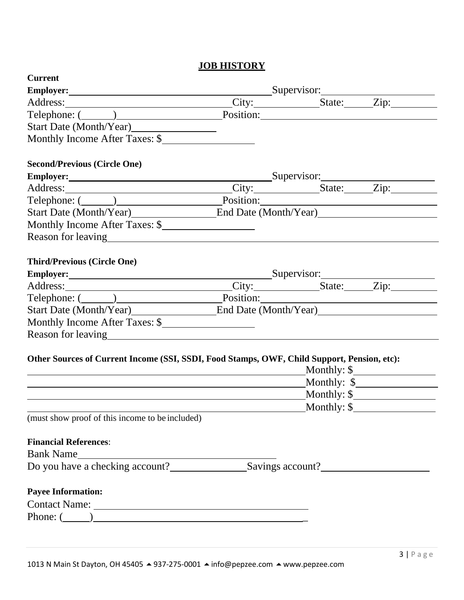#### **JOB HISTORY**

| <b>Current</b>                                                                                                                                                                                                                 |  |             |                        |
|--------------------------------------------------------------------------------------------------------------------------------------------------------------------------------------------------------------------------------|--|-------------|------------------------|
| Employer: Supervisor: Supervisor:                                                                                                                                                                                              |  |             |                        |
|                                                                                                                                                                                                                                |  |             |                        |
| Telephone: (Campaigne Land Position: Position: Position: Campaigne Land Position: Campaigne Land Position: Campaigne Land Position: Campaigne Land Position: Campaigne Land Position: Campaigne Land Position: Campaigne Land  |  |             |                        |
|                                                                                                                                                                                                                                |  |             |                        |
| Monthly Income After Taxes: \$                                                                                                                                                                                                 |  |             |                        |
|                                                                                                                                                                                                                                |  |             |                        |
| <b>Second/Previous (Circle One)</b>                                                                                                                                                                                            |  |             |                        |
| Employer: Supervisor: Supervisor: Supervisor: Supervisor: Zip:                                                                                                                                                                 |  |             |                        |
|                                                                                                                                                                                                                                |  |             |                        |
| Start Date (Month/Year) End Date (Month/Year)                                                                                                                                                                                  |  |             |                        |
| Monthly Income After Taxes: \$                                                                                                                                                                                                 |  |             |                        |
|                                                                                                                                                                                                                                |  |             |                        |
|                                                                                                                                                                                                                                |  |             |                        |
| <b>Third/Previous (Circle One)</b>                                                                                                                                                                                             |  |             |                        |
| Employer: Supervisor: Supervisor:                                                                                                                                                                                              |  |             |                        |
| Address: City: State: Zip:                                                                                                                                                                                                     |  |             |                        |
| Telephone: (Champion Communication Contract Communication Communication Communication Communication Communication Communication Communication Communication Communication Communication Communication Communication Communicat |  |             |                        |
| Start Date (Month/Year) End Date (Month/Year)                                                                                                                                                                                  |  |             |                        |
| Monthly Income After Taxes: \$                                                                                                                                                                                                 |  |             |                        |
|                                                                                                                                                                                                                                |  |             |                        |
|                                                                                                                                                                                                                                |  |             |                        |
| Other Sources of Current Income (SSI, SSDI, Food Stamps, OWF, Child Support, Pension, etc):                                                                                                                                    |  |             |                        |
|                                                                                                                                                                                                                                |  |             | Monthly: \$            |
| <u> 1989 - Johann Barnett, fransk politiker (</u>                                                                                                                                                                              |  |             | Monthly: $\frac{1}{2}$ |
| Monthly: \$                                                                                                                                                                                                                    |  |             |                        |
|                                                                                                                                                                                                                                |  | Monthly: \$ |                        |
| (must show proof of this income to be included)                                                                                                                                                                                |  |             |                        |
|                                                                                                                                                                                                                                |  |             |                        |
| <b>Financial References:</b>                                                                                                                                                                                                   |  |             |                        |
| Bank Name                                                                                                                                                                                                                      |  |             |                        |
| Do you have a checking account?<br>Savings account?<br>Savings account?                                                                                                                                                        |  |             |                        |
| <b>Payee Information:</b>                                                                                                                                                                                                      |  |             |                        |
|                                                                                                                                                                                                                                |  |             |                        |
| Phone: $\qquad \qquad$                                                                                                                                                                                                         |  |             |                        |
|                                                                                                                                                                                                                                |  |             |                        |
|                                                                                                                                                                                                                                |  |             |                        |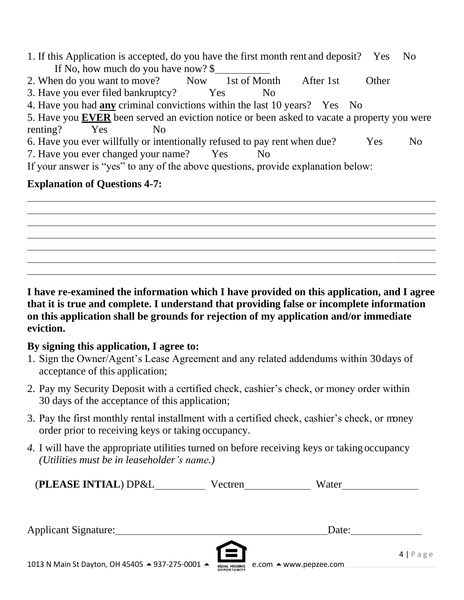1. If this Application is accepted, do you have the first month rent and deposit? Yes No If No, how much do you have now? \$ 2. When do you want to move? Now 1st of Month After 1st Other 3. Have you ever filed bankruptcy? Yes No 4. Have you had **any** criminal convictions within the last 10 years? Yes No 5. Have you **EVER** been served an eviction notice or been asked to vacate a property you were renting? Yes No 6. Have you ever willfully or intentionally refused to pay rent when due? Yes No 7. Have you ever changed your name? Yes No If your answer is "yes" to any of the above questions, provide explanation below:

### **Explanation of Questions 4-7:**

**I have re-examined the information which I have provided on this application, and I agree that it is true and complete. I understand that providing false or incomplete information on this application shall be grounds for rejection of my application and/or immediate eviction.**

### **By signing this application, I agree to:**

- 1. Sign the Owner/Agent's Lease Agreement and any related addendums within 30days of acceptance of this application;
- 2. Pay my Security Deposit with a certified check, cashier's check, or money order within 30 days of the acceptance of this application;
- 3. Pay the first monthly rental installment with a certified check, cashier's check, or money order prior to receiving keys or taking occupancy.
- *4.* I will have the appropriate utilities turned on before receiving keys or taking occupancy *(Utilities must be in leaseholder's name.)*

| (PLEASE INTIAL) DP&L        | Vectren  | Water |                    |
|-----------------------------|----------|-------|--------------------|
| <b>Applicant Signature:</b> |          | Date: |                    |
|                             | <u>E</u> |       | $4   P \text{age}$ |